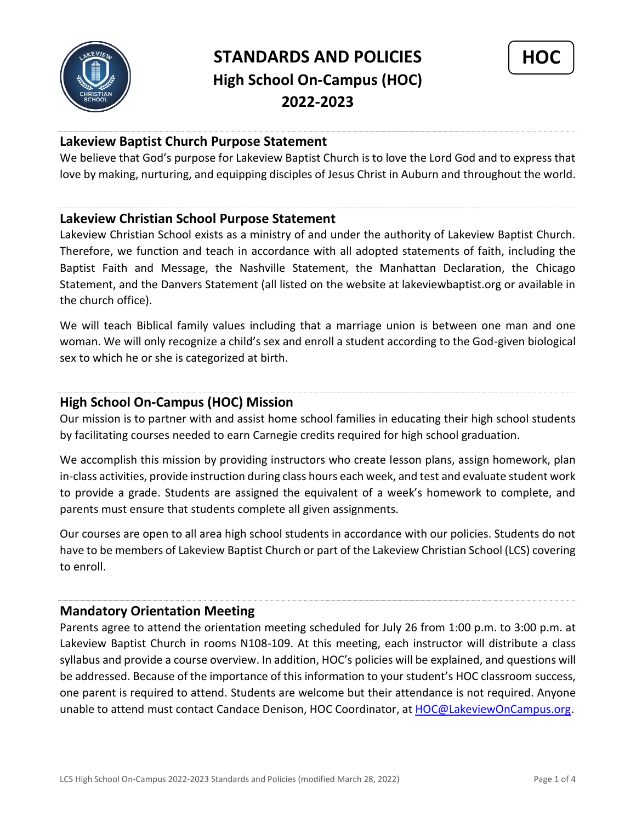



# **Lakeview Baptist Church Purpose Statement**

We believe that God's purpose for Lakeview Baptist Church is to love the Lord God and to express that love by making, nurturing, and equipping disciples of Jesus Christ in Auburn and throughout the world.

### **Lakeview Christian School Purpose Statement**

Lakeview Christian School exists as a ministry of and under the authority of Lakeview Baptist Church. Therefore, we function and teach in accordance with all adopted statements of faith, including the Baptist Faith and Message, the Nashville Statement, the Manhattan Declaration, the Chicago Statement, and the Danvers Statement (all listed on the website at lakeviewbaptist.org or available in the church office).

We will teach Biblical family values including that a marriage union is between one man and one woman. We will only recognize a child's sex and enroll a student according to the God-given biological sex to which he or she is categorized at birth.

## **High School On-Campus (HOC) Mission**

Our mission is to partner with and assist home school families in educating their high school students by facilitating courses needed to earn Carnegie credits required for high school graduation.

We accomplish this mission by providing instructors who create lesson plans, assign homework, plan in-class activities, provide instruction during class hours each week, and test and evaluate student work to provide a grade. Students are assigned the equivalent of a week's homework to complete, and parents must ensure that students complete all given assignments.

Our courses are open to all area high school students in accordance with our policies. Students do not have to be members of Lakeview Baptist Church or part of the Lakeview Christian School (LCS) covering to enroll.

## **Mandatory Orientation Meeting**

Parents agree to attend the orientation meeting scheduled for July 26 from 1:00 p.m. to 3:00 p.m. at Lakeview Baptist Church in rooms N108-109. At this meeting, each instructor will distribute a class syllabus and provide a course overview. In addition, HOC's policies will be explained, and questions will be addressed. Because of the importance of this information to your student's HOC classroom success, one parent is required to attend. Students are welcome but their attendance is not required. Anyone unable to attend must contact Candace Denison, HOC Coordinator, at [HOC@LakeviewOnCampus.org.](mailto:HOC@LakeviewOnCampus.org)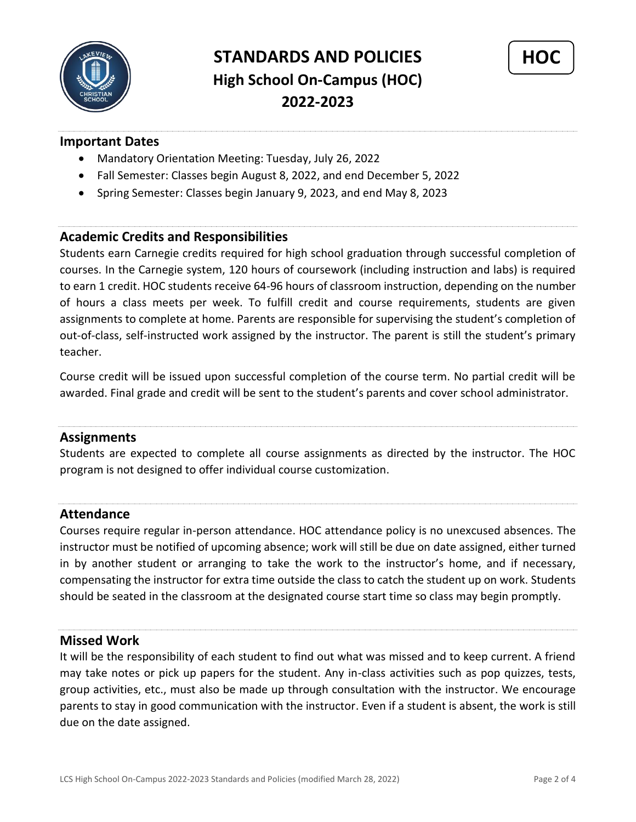



## **Important Dates**

- Mandatory Orientation Meeting: Tuesday, July 26, 2022
- Fall Semester: Classes begin August 8, 2022, and end December 5, 2022
- Spring Semester: Classes begin January 9, 2023, and end May 8, 2023

### **Academic Credits and Responsibilities**

Students earn Carnegie credits required for high school graduation through successful completion of courses. In the Carnegie system, 120 hours of coursework (including instruction and labs) is required to earn 1 credit. HOC students receive 64-96 hours of classroom instruction, depending on the number of hours a class meets per week. To fulfill credit and course requirements, students are given assignments to complete at home. Parents are responsible for supervising the student's completion of out-of-class, self-instructed work assigned by the instructor. The parent is still the student's primary teacher.

Course credit will be issued upon successful completion of the course term. No partial credit will be awarded. Final grade and credit will be sent to the student's parents and cover school administrator.

## **Assignments**

Students are expected to complete all course assignments as directed by the instructor. The HOC program is not designed to offer individual course customization.

## **Attendance**

Courses require regular in-person attendance. HOC attendance policy is no unexcused absences. The instructor must be notified of upcoming absence; work will still be due on date assigned, either turned in by another student or arranging to take the work to the instructor's home, and if necessary, compensating the instructor for extra time outside the class to catch the student up on work. Students should be seated in the classroom at the designated course start time so class may begin promptly.

#### **Missed Work**

It will be the responsibility of each student to find out what was missed and to keep current. A friend may take notes or pick up papers for the student. Any in-class activities such as pop quizzes, tests, group activities, etc., must also be made up through consultation with the instructor. We encourage parents to stay in good communication with the instructor. Even if a student is absent, the work is still due on the date assigned.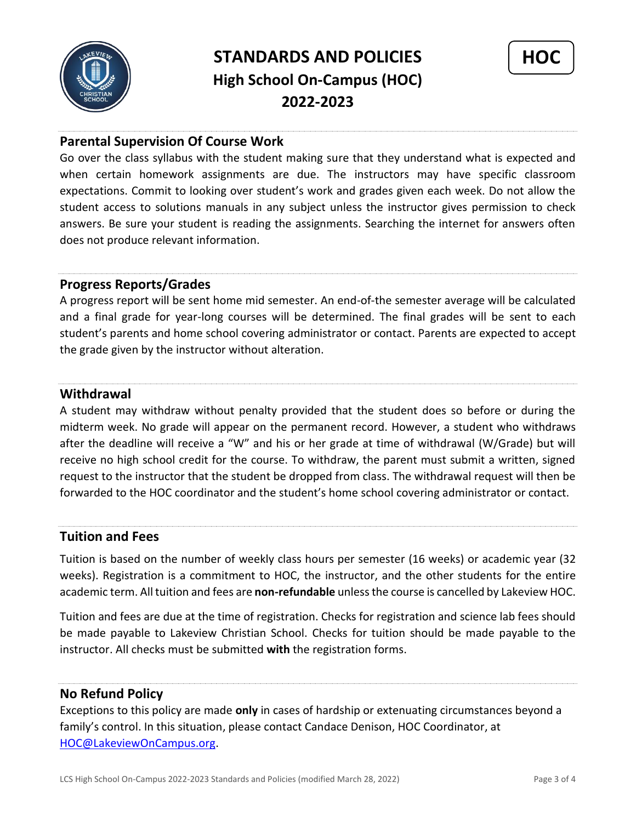



# **Parental Supervision Of Course Work**

Go over the class syllabus with the student making sure that they understand what is expected and when certain homework assignments are due. The instructors may have specific classroom expectations. Commit to looking over student's work and grades given each week. Do not allow the student access to solutions manuals in any subject unless the instructor gives permission to check answers. Be sure your student is reading the assignments. Searching the internet for answers often does not produce relevant information.

## **Progress Reports/Grades**

A progress report will be sent home mid semester. An end-of-the semester average will be calculated and a final grade for year-long courses will be determined. The final grades will be sent to each student's parents and home school covering administrator or contact. Parents are expected to accept the grade given by the instructor without alteration.

## **Withdrawal**

A student may withdraw without penalty provided that the student does so before or during the midterm week. No grade will appear on the permanent record. However, a student who withdraws after the deadline will receive a "W" and his or her grade at time of withdrawal (W/Grade) but will receive no high school credit for the course. To withdraw, the parent must submit a written, signed request to the instructor that the student be dropped from class. The withdrawal request will then be forwarded to the HOC coordinator and the student's home school covering administrator or contact.

## **Tuition and Fees**

Tuition is based on the number of weekly class hours per semester (16 weeks) or academic year (32 weeks). Registration is a commitment to HOC, the instructor, and the other students for the entire academic term. All tuition and fees are **non-refundable** unless the course is cancelled by Lakeview HOC.

Tuition and fees are due at the time of registration. Checks for registration and science lab fees should be made payable to Lakeview Christian School. Checks for tuition should be made payable to the instructor. All checks must be submitted **with** the registration forms.

## **No Refund Policy**

Exceptions to this policy are made **only** in cases of hardship or extenuating circumstances beyond a family's control. In this situation, please contact Candace Denison, HOC Coordinator, at [HOC@LakeviewOnCampus.org.](mailto:HOC@LakeviewOnCampus.org)